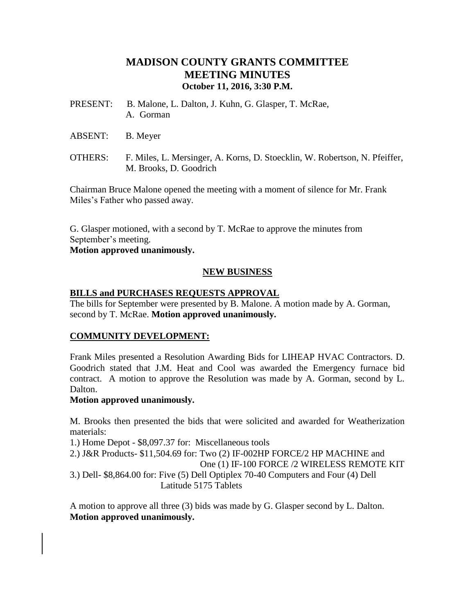# **MADISON COUNTY GRANTS COMMITTEE MEETING MINUTES October 11, 2016, 3:30 P.M.**

- PRESENT: B. Malone, L. Dalton, J. Kuhn, G. Glasper, T. McRae, A. Gorman
- ABSENT: B. Meyer
- OTHERS: F. Miles, L. Mersinger, A. Korns, D. Stoecklin, W. Robertson, N. Pfeiffer, M. Brooks, D. Goodrich

Chairman Bruce Malone opened the meeting with a moment of silence for Mr. Frank Miles's Father who passed away.

G. Glasper motioned, with a second by T. McRae to approve the minutes from September's meeting.

#### **Motion approved unanimously.**

## **NEW BUSINESS**

### **BILLS and PURCHASES REQUESTS APPROVAL**

The bills for September were presented by B. Malone. A motion made by A. Gorman, second by T. McRae. **Motion approved unanimously.**

### **COMMUNITY DEVELOPMENT:**

Frank Miles presented a Resolution Awarding Bids for LIHEAP HVAC Contractors. D. Goodrich stated that J.M. Heat and Cool was awarded the Emergency furnace bid contract. A motion to approve the Resolution was made by A. Gorman, second by L. Dalton.

### **Motion approved unanimously.**

M. Brooks then presented the bids that were solicited and awarded for Weatherization materials:

1.) Home Depot - \$8,097.37 for: Miscellaneous tools

2.) J&R Products- \$11,504.69 for: Two (2) IF-002HP FORCE/2 HP MACHINE and

One (1) IF-100 FORCE /2 WIRELESS REMOTE KIT

3.) Dell- \$8,864.00 for: Five (5) Dell Optiplex 70-40 Computers and Four (4) Dell Latitude 5175 Tablets

A motion to approve all three (3) bids was made by G. Glasper second by L. Dalton. **Motion approved unanimously.**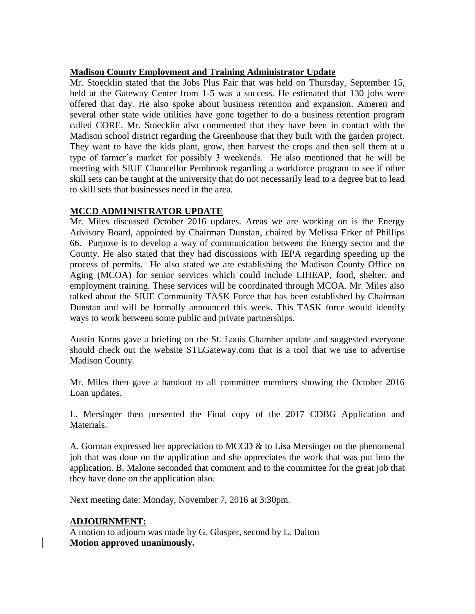## **Madison County Employment and Training Administrator Update**

Mr. Stoecklin stated that the Jobs Plus Fair that was held on Thursday, September 15, held at the Gateway Center from 1-5 was a success. He estimated that 130 jobs were offered that day. He also spoke about business retention and expansion. Ameren and several other state wide utilities have gone together to do a business retention program called CORE. Mr. Stoecklin also commented that they have been in contact with the Madison school district regarding the Greenhouse that they built with the garden project. They want to have the kids plant, grow, then harvest the crops and then sell them at a type of farmer's market for possibly 3 weekends. He also mentioned that he will be meeting with SIUE Chancellor Pembrook regarding a workforce program to see if other skill sets can be taught at the university that do not necessarily lead to a degree but to lead to skill sets that businesses need in the area.

## **MCCD ADMINISTRATOR UPDATE**

Mr. Miles discussed October 2016 updates. Areas we are working on is the Energy Advisory Board, appointed by Chairman Dunstan, chaired by Melissa Erker of Phillips 66. Purpose is to develop a way of communication between the Energy sector and the County. He also stated that they had discussions with IEPA regarding speeding up the process of permits. He also stated we are establishing the Madison County Office on Aging (MCOA) for senior services which could include LIHEAP, food, shelter, and employment training. These services will be coordinated through MCOA. Mr. Miles also talked about the SIUE Community TASK Force that has been established by Chairman Dunstan and will be formally announced this week. This TASK force would identify ways to work between some public and private partnerships.

Austin Korns gave a briefing on the St. Louis Chamber update and suggested everyone should check out the website STLGateway.com that is a tool that we use to advertise Madison County.

Mr. Miles then gave a handout to all committee members showing the October 2016 Loan updates.

L. Mersinger then presented the Final copy of the 2017 CDBG Application and Materials.

A. Gorman expressed her appreciation to MCCD & to Lisa Mersinger on the phenomenal job that was done on the application and she appreciates the work that was put into the application. B. Malone seconded that comment and to the committee for the great job that they have done on the application also.

Next meeting date: Monday, November 7, 2016 at 3:30pm.

### **ADJOURNMENT:**

A motion to adjourn was made by G. Glasper, second by L. Dalton **Motion approved unanimously.**